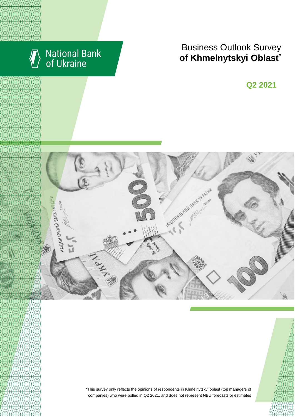

# National Bank<br>of Ukraine

# **Rusiness Outlook Survey**<br> **RESULTS** RESULTS **of Khmelnytskyi Oblast**<sup>\*</sup>

**Q2 2018 Q2 2021**



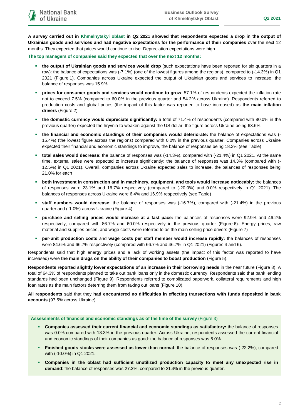**A survey carried out in Khmelnytskyi oblast in Q2 2021 showed that respondents expected a drop in the output of Ukrainian goods and services and had negative expectations for the performance of their companies** over the next 12 months. They expected that prices would continue to rise. Depreciation expectations were high.

**The top managers of companies said they expected that over the next 12 months:**

- **the output of Ukrainian goods and services would drop** (such expectations have been reported for six quarters in a row): the balance of expectations was (-7.1%) (one of the lowest figures among the regions), compared to (-14.3%) in Q1 2021 (Figure 1). Companies across Ukraine expected the output of Ukrainian goods and services to increase: the balance of responses was 15.9%
- **prices for consumer goods and services would continue to grow**: 57.1% of respondents expected the inflation rate not to exceed 7.5% (compared to 60.0% in the previous quarter and 54.2% across Ukraine). Respondents referred to production costs and global prices (the impact of this factor was reported to have increased) as **the main inflation drivers** (Figure 2)
- **the domestic currency would depreciate significantly:** a total of 71.4% of respondents (compared with 80.0% in the previous quarter) expected the hryvnia to weaken against the US dollar, the figure across Ukraine being 63.6%
- **the financial and economic standings of their companies would deteriorate:** the balance of expectations was (- 15.4%) (the lowest figure across the regions) compared with 0.0% in the previous quarter. Companies across Ukraine expected their financial and economic standings to improve, the balance of responses being 18.3% (see Table)
- **total sales would decrease:** the balance of responses was (-14.3%), compared with (-21.4%) in Q1 2021. At the same time, external sales were expected to increase significantly: the balance of responses was 14.3% (compared with (- 12.5%) in Q1 2021). Overall, companies across Ukraine expected sales to increase, the balances of responses being 21.0% for each
- **both investment in construction and in machinery, equipment, and tools would increase noticeably:** the balances of responses were 23.1% and 16.7% respectively (compared to (-20.0%) and 0.0% respectively in Q1 2021). The balances of responses across Ukraine were 6.4% and 16.9% respectively (see Table)
- **staff numbers would decrease**: the balance of responses was (-16.7%), compared with (-21.4%) in the previous quarter and (-1.0%) across Ukraine (Figure 4)
- **purchase and selling prices would increase at a fast pace:** the balances of responses were 92.9% and 46.2% respectively, compared with 86.7% and 60.0% respectively in the previous quarter (Figure 6). Energy prices, raw material and supplies prices, and wage costs were referred to as the main selling price drivers (Figure 7)
- **per-unit production costs** and **wage costs per staff member would increase rapidly:** the balances of responses were 84.6% and 66.7% respectively (compared with 66.7% and 46.7% in Q1 2021) (Figures 4 and 6).

Respondents said that high energy prices and a lack of working assets (the impact of this factor was reported to have increased) were **the main drags on the ability of their companies to boost production** (Figure 5).

**Respondents reported slightly lower expectations of an increase in their borrowing needs** in the near future (Figure 8). A total of 64.3% of respondents planned to take out bank loans only in the domestic currency. Respondents said that bank lending standards had been unchanged (Figure 9). Respondents referred to complicated paperwork, collateral requirements and high loan rates as the main factors deterring them from taking out loans (Figure 10).

**All respondents** said that they **had encountered no difficulties in effecting transactions with funds deposited in bank accounts** (97.5% across Ukraine).

#### **Assessments of financial and economic standings as of the time of the survey** (Figure 3)

- **Companies assessed their current financial and economic standings as satisfactory:** the balance of responses was 0.0% compared with 13.3% in the previous quarter. Across Ukraine, respondents assessed the current financial and economic standings of their companies as good: the balance of responses was 6.0%.
- **Finished goods stocks were assessed as lower than normal**: the balance of responses was (-22.2%), compared with (-10.0%) in Q1 2021.
- **Companies in the oblast had sufficient unutilized production capacity to meet any unexpected rise in demand**: the balance of responses was 27.3%, compared to 21.4% in the previous quarter.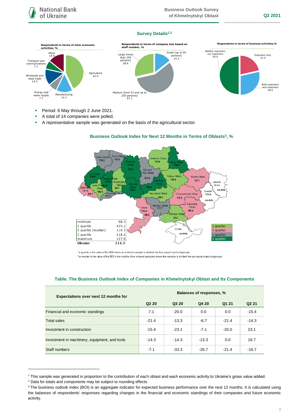#### **Survey Details1,2**



- Period: 6 May through 2 June 2021.
- A total of 14 companies were polled.
- A representative sample was generated on the basis of the agricultural sector.



## **Business Outlook Index for Next 12 Months in Terms of Oblasts<sup>3</sup> , %**

\*a quartile is the value of the BOI where an ordered sample is divided into four equal-sized subgroups

\*\*a median is the value of the BOI in the middle of an ordered sampled where the sample is divided into two equal-sized subgroups

| <b>Expectations over next 12 months for</b>   | <b>Balances of responses, %</b> |         |         |         |                   |
|-----------------------------------------------|---------------------------------|---------|---------|---------|-------------------|
|                                               | Q <sub>2</sub> 2 <sub>0</sub>   | Q3 20   | Q4 20   | Q1 21   | Q <sub>2</sub> 21 |
| Financial and economic standings              | 7.1                             | $-20.0$ | 0.0     | 0.0     | $-15.4$           |
| <b>Total sales</b>                            | $-21.4$                         | $-13.3$ | $-6.7$  | $-21.4$ | $-14.3$           |
| Investment in construction                    | $-15.4$                         | $-23.1$ | $-7.1$  | $-20.0$ | 23.1              |
| Investment in machinery, equipment, and tools | $-14.3$                         | $-14.3$ | $-13.3$ | 0.0     | 16.7              |
| Staff numbers                                 | $-7.1$                          | $-33.3$ | $-26.7$ | $-21.4$ | $-16.7$           |

### **Table. The Business Outlook Index of Companies in Khmelnytskyi Oblast and Its Components**

1

<sup>1</sup> This sample was generated in proportion to the contribution of each oblast and each economic activity to Ukraine's gross value added.

<sup>2</sup> Data for totals and components may be subject to rounding effects.

<sup>&</sup>lt;sup>3</sup> The business outlook index (BOI) is an aggregate indicator for expected business performance over the next 12 months. It is calculated using the balances of respondents' responses regarding changes in the financial and economic standings of their companies and future economic activity.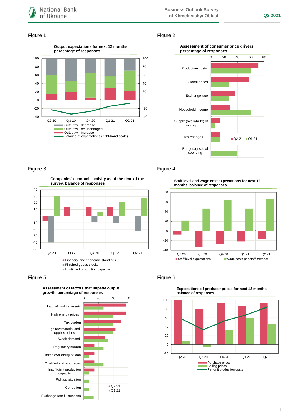

### Figure 1 Figure 2



#### **Assessment of consumer price drivers, percentage of responses**



## Figure 3 **Figure 4**

**Companies' economic activity as of the time of the survey, balance of responses**



Figure 5 **Figure 6** 



**Staff level and wage cost expectations for next 12 months, balance of responses**





**Expectations of producer prices for next 12 months, balance of responses**